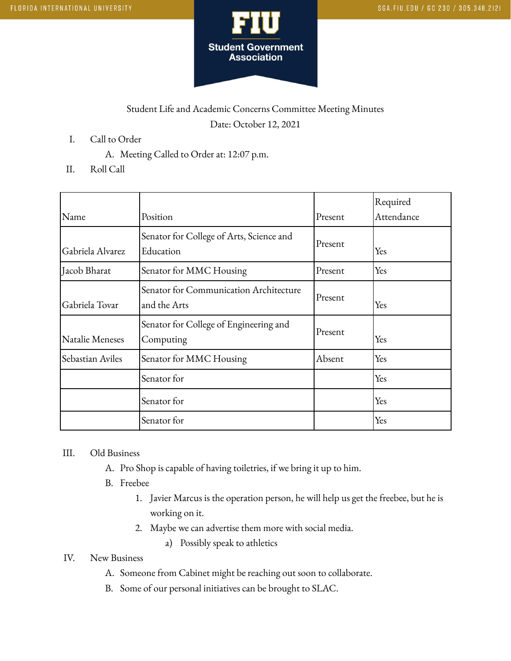

## Student Life and Academic Concerns Committee Meeting Minutes Date: October 12, 2021

- I. Call to Order
	- A. Meeting Called to Order at: 12:07 p.m.
- II. Roll Call

| Name             | Position                                               | Present | Required<br>Attendance |
|------------------|--------------------------------------------------------|---------|------------------------|
| Gabriela Alvarez | Senator for College of Arts, Science and<br>Education  | Present | Yes                    |
| Jacob Bharat     | Senator for MMC Housing                                | Present | Yes                    |
| Gabriela Tovar   | Senator for Communication Architecture<br>and the Arts | Present | Yes                    |
| Natalie Meneses  | Senator for College of Engineering and<br>Computing    | Present | Yes                    |
| Sebastian Aviles | Senator for MMC Housing                                | Absent  | Yes                    |
|                  | Senator for                                            |         | Yes                    |
|                  | Senator for                                            |         | Yes                    |
|                  | Senator for                                            |         | Yes                    |

## III. Old Business

- A. Pro Shop is capable of having toiletries, if we bring it up to him.
- B. Freebee
	- 1. Javier Marcus is the operation person, he will help us get the freebee, but he is working on it.
	- 2. Maybe we can advertise them more with social media.
		- a) Possibly speak to athletics

## IV. New Business

- A. Someone from Cabinet might be reaching out soon to collaborate.
- B. Some of our personal initiatives can be brought to SLAC.